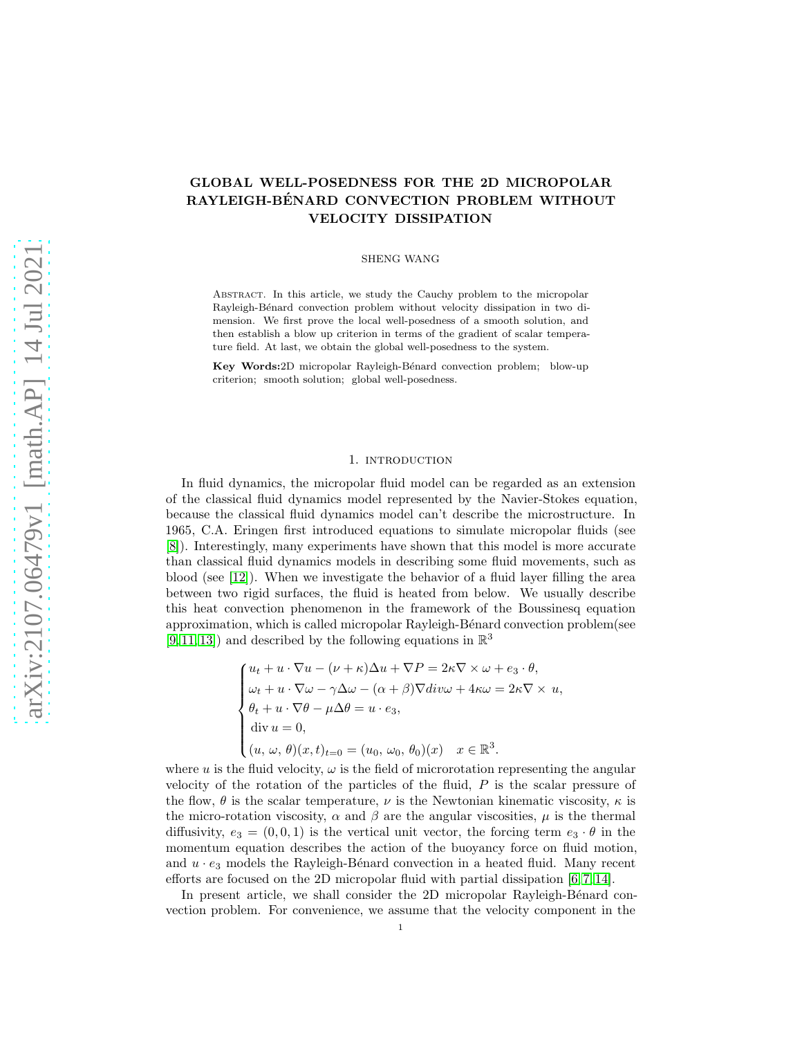# GLOBAL WELL-POSEDNESS FOR THE 2D MICROPOLAR RAYLEIGH-BÉNARD CONVECTION PROBLEM WITHOUT VELOCITY DISSIPATION

SHENG WANG

ABSTRACT. In this article, we study the Cauchy problem to the micropolar Rayleigh-Bénard convection problem without velocity dissipation in two dimension. We first prove the local well-posedness of a smooth solution, and then establish a blow up criterion in terms of the gradient of scalar temperature field. At last, we obtain the global well-posedness to the system.

Key Words: 2D micropolar Rayleigh-Bénard convection problem; blow-up criterion; smooth solution; global well-posedness.

#### 1. INTRODUCTION

In fluid dynamics, the micropolar fluid model can be regarded as an extension of the classical fluid dynamics model represented by the Navier-Stokes equation, because the classical fluid dynamics model can't describe the microstructure. In 1965, C.A. Eringen first introduced equations to simulate micropolar fluids (see [\[8\]](#page-12-0)). Interestingly, many experiments have shown that this model is more accurate than classical fluid dynamics models in describing some fluid movements, such as blood (see [\[12\]](#page-12-1)). When we investigate the behavior of a fluid layer filling the area between two rigid surfaces, the fluid is heated from below. We usually describe this heat convection phenomenon in the framework of the Boussinesq equation approximation, which is called micropolar Rayleigh-Bénard convection problem(see  $[9, 11, 13]$  $[9, 11, 13]$  $[9, 11, 13]$  and described by the following equations in  $\mathbb{R}^3$ 

$$
\begin{cases}\nu_t + u \cdot \nabla u - (\nu + \kappa) \Delta u + \nabla P = 2\kappa \nabla \times \omega + e_3 \cdot \theta, \\
\omega_t + u \cdot \nabla \omega - \gamma \Delta \omega - (\alpha + \beta) \nabla \text{div}\omega + 4\kappa \omega = 2\kappa \nabla \times u, \\
\theta_t + u \cdot \nabla \theta - \mu \Delta \theta = u \cdot e_3, \\
\text{div } u = 0, \\
(u, \omega, \theta)(x, t)_{t=0} = (u_0, \omega_0, \theta_0)(x) \quad x \in \mathbb{R}^3.\n\end{cases}
$$

where u is the fluid velocity,  $\omega$  is the field of microrotation representing the angular velocity of the rotation of the particles of the fluid, P is the scalar pressure of the flow,  $\theta$  is the scalar temperature,  $\nu$  is the Newtonian kinematic viscosity,  $\kappa$  is the micro-rotation viscosity,  $\alpha$  and  $\beta$  are the angular viscosities,  $\mu$  is the thermal diffusivity,  $e_3 = (0, 0, 1)$  is the vertical unit vector, the forcing term  $e_3 \cdot \theta$  in the momentum equation describes the action of the buoyancy force on fluid motion, and  $u \cdot e_3$  models the Rayleigh-Bénard convection in a heated fluid. Many recent efforts are focused on the 2D micropolar fluid with partial dissipation [\[6,](#page-12-5) [7,](#page-12-6) [14\]](#page-12-7).

In present article, we shall consider the 2D micropolar Rayleigh-Bénard convection problem. For convenience, we assume that the velocity component in the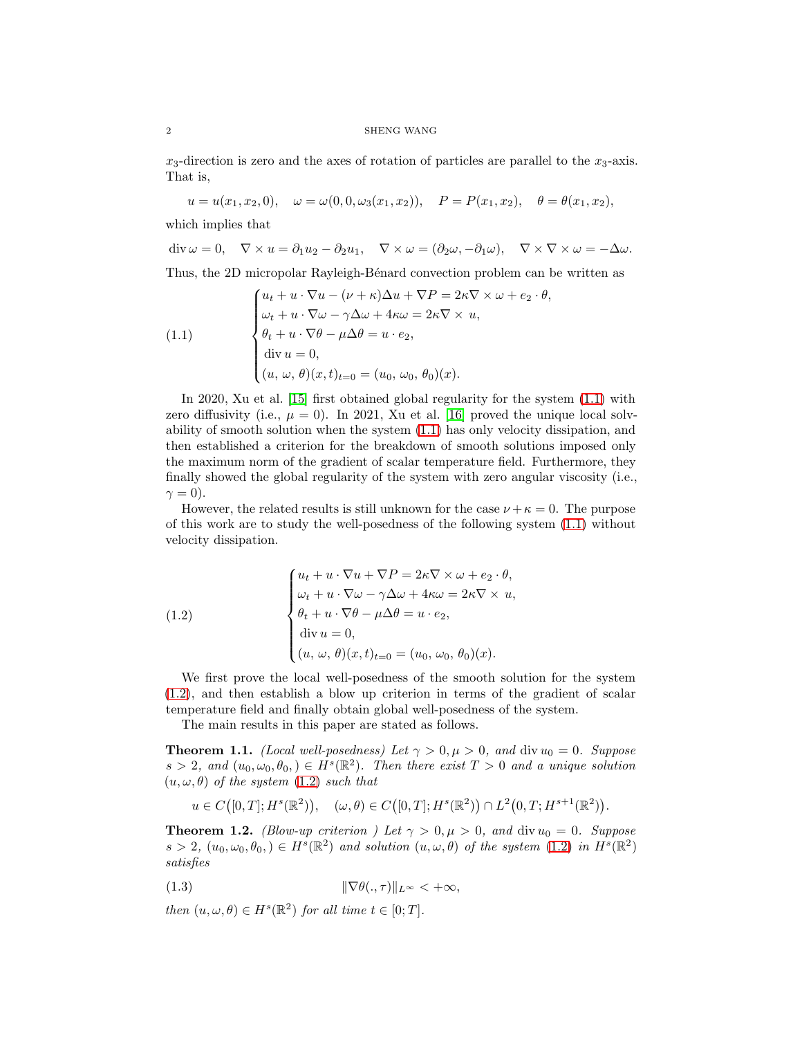#### $2\,$  SHENG WANG  $\,$

 $x_3$ -direction is zero and the axes of rotation of particles are parallel to the  $x_3$ -axis. That is,

 $u = u(x_1, x_2, 0), \quad \omega = \omega(0, 0, \omega_3(x_1, x_2)), \quad P = P(x_1, x_2), \quad \theta = \theta(x_1, x_2),$ 

which implies that

$$
\operatorname{div} \omega = 0, \quad \nabla \times u = \partial_1 u_2 - \partial_2 u_1, \quad \nabla \times \omega = (\partial_2 \omega, -\partial_1 \omega), \quad \nabla \times \nabla \times \omega = -\Delta \omega.
$$

Thus, the 2D micropolar Rayleigh-Bénard convection problem can be written as

<span id="page-1-0"></span>(1.1) 
$$
\begin{cases} u_t + u \cdot \nabla u - (\nu + \kappa) \Delta u + \nabla P = 2\kappa \nabla \times \omega + e_2 \cdot \theta, \\ \omega_t + u \cdot \nabla \omega - \gamma \Delta \omega + 4\kappa \omega = 2\kappa \nabla \times u, \\ \theta_t + u \cdot \nabla \theta - \mu \Delta \theta = u \cdot e_2, \\ \text{div } u = 0, \\ (u, \, \omega, \, \theta)(x, t)_{t=0} = (u_0, \, \omega_0, \, \theta_0)(x). \end{cases}
$$

In 2020, Xu et al. [\[15\]](#page-12-8) first obtained global regularity for the system [\(1.1\)](#page-1-0) with zero diffusivity (i.e.,  $\mu = 0$ ). In 2021, Xu et al. [\[16\]](#page-12-9) proved the unique local solvability of smooth solution when the system [\(1.1\)](#page-1-0) has only velocity dissipation, and then established a criterion for the breakdown of smooth solutions imposed only the maximum norm of the gradient of scalar temperature field. Furthermore, they finally showed the global regularity of the system with zero angular viscosity (i.e.,  $\gamma = 0$ ).

However, the related results is still unknown for the case  $\nu + \kappa = 0$ . The purpose of this work are to study the well-posedness of the following system [\(1.1\)](#page-1-0) without velocity dissipation.

<span id="page-1-1"></span>(1.2)  

$$
\begin{cases}\nu_t + u \cdot \nabla u + \nabla P = 2\kappa \nabla \times \omega + e_2 \cdot \theta, \\
\omega_t + u \cdot \nabla \omega - \gamma \Delta \omega + 4\kappa \omega = 2\kappa \nabla \times u, \\
\theta_t + u \cdot \nabla \theta - \mu \Delta \theta = u \cdot e_2, \\
\text{div } u = 0, \\
(u, \omega, \theta)(x, t)_{t=0} = (u_0, \omega_0, \theta_0)(x).\n\end{cases}
$$

We first prove the local well-posedness of the smooth solution for the system [\(1.2\)](#page-1-1), and then establish a blow up criterion in terms of the gradient of scalar temperature field and finally obtain global well-posedness of the system.

The main results in this paper are stated as follows.

<span id="page-1-2"></span>**Theorem 1.1.** (Local well-posedness) Let  $\gamma > 0, \mu > 0$ , and div  $u_0 = 0$ . Suppose  $s > 2$ , and  $(u_0, \omega_0, \theta_0) \in H^s(\mathbb{R}^2)$ . Then there exist  $T > 0$  and a unique solution  $(u, \omega, \theta)$  of the system  $(1.2)$  such that

<span id="page-1-4"></span>
$$
u \in C([0,T]; H^s(\mathbb{R}^2)), \quad (\omega, \theta) \in C([0,T]; H^s(\mathbb{R}^2)) \cap L^2(0,T; H^{s+1}(\mathbb{R}^2)).
$$

<span id="page-1-3"></span>**Theorem 1.2.** (Blow-up criterion ) Let  $\gamma > 0, \mu > 0$ , and div  $u_0 = 0$ . Suppose  $s > 2, (u_0, \omega_0, \theta_0) \in H^s(\mathbb{R}^2)$  and solution  $(u, \omega, \theta)$  of the system  $(1.2)$  in  $H^s(\mathbb{R}^2)$ satisfies

$$
(1.3) \t\t\t \t\t\t \|\nabla \theta(.,\tau)\|_{L^{\infty}} < +\infty,
$$

then  $(u, \omega, \theta) \in H^s(\mathbb{R}^2)$  for all time  $t \in [0; T]$ .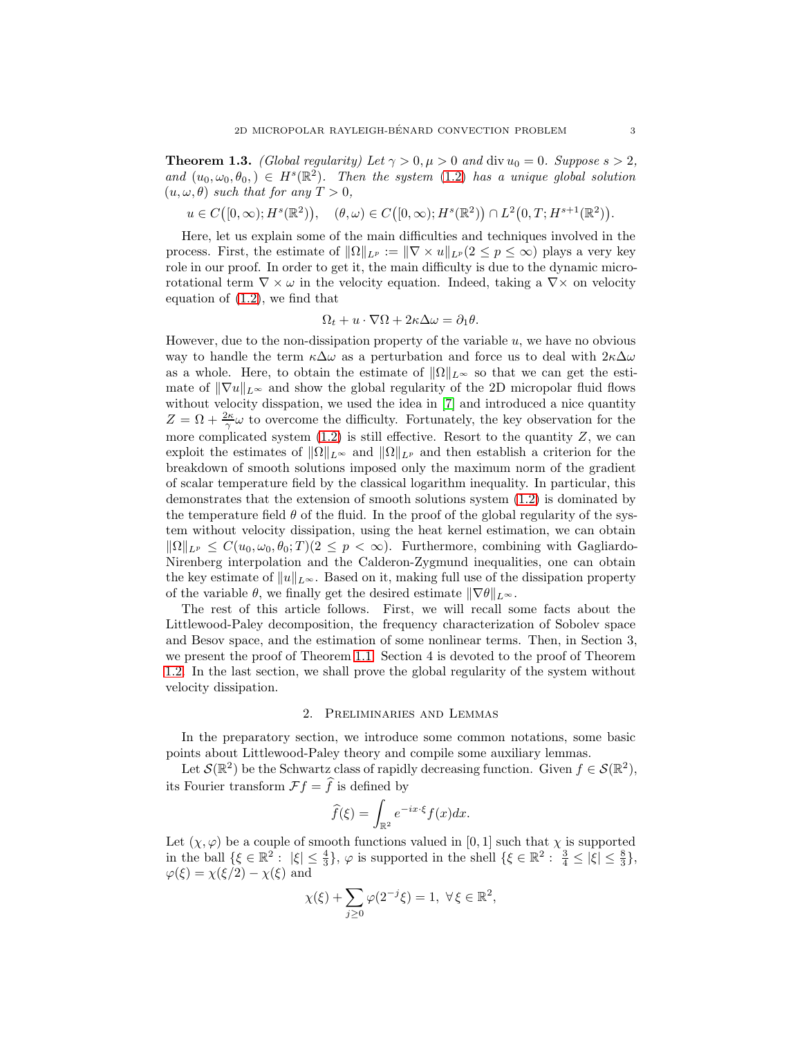<span id="page-2-0"></span>**Theorem 1.3.** (Global regularity) Let  $\gamma > 0, \mu > 0$  and div  $u_0 = 0$ . Suppose  $s > 2$ , and  $(u_0, \omega_0, \theta_0) \in H^s(\mathbb{R}^2)$ . Then the system [\(1.2\)](#page-1-1) has a unique global solution  $(u, \omega, \theta)$  such that for any  $T > 0$ ,

 $u \in C([0,\infty); H^s(\mathbb{R}^2)), \quad (\theta,\omega) \in C([0,\infty); H^s(\mathbb{R}^2)) \cap L^2(0,T; H^{s+1}(\mathbb{R}^2)).$ 

Here, let us explain some of the main difficulties and techniques involved in the process. First, the estimate of  $\|\Omega\|_{L^p} := \|\nabla \times u\|_{L^p} (2 \leq p \leq \infty)$  plays a very key role in our proof. In order to get it, the main difficulty is due to the dynamic microrotational term  $\nabla \times \omega$  in the velocity equation. Indeed, taking a  $\nabla \times \omega$  on velocity equation of [\(1.2\)](#page-1-1), we find that

$$
\Omega_t + u \cdot \nabla \Omega + 2\kappa \Delta \omega = \partial_1 \theta.
$$

However, due to the non-dissipation property of the variable  $u$ , we have no obvious way to handle the term  $\kappa \Delta \omega$  as a perturbation and force us to deal with  $2\kappa \Delta \omega$ as a whole. Here, to obtain the estimate of  $\|\Omega\|_{L^{\infty}}$  so that we can get the estimate of  $\|\nabla u\|_{L^{\infty}}$  and show the global regularity of the 2D micropolar fluid flows without velocity disspation, we used the idea in [\[7\]](#page-12-6) and introduced a nice quantity  $Z = \Omega + \frac{2\kappa}{\gamma} \omega$  to overcome the difficulty. Fortunately, the key observation for the more complicated system  $(1.2)$  is still effective. Resort to the quantity Z, we can exploit the estimates of  $\|\Omega\|_{L^{\infty}}$  and  $\|\Omega\|_{L^p}$  and then establish a criterion for the breakdown of smooth solutions imposed only the maximum norm of the gradient of scalar temperature field by the classical logarithm inequality. In particular, this demonstrates that the extension of smooth solutions system [\(1.2\)](#page-1-1) is dominated by the temperature field  $\theta$  of the fluid. In the proof of the global regularity of the system without velocity dissipation, using the heat kernel estimation, we can obtain  $\|\Omega\|_{L^p} \leq C(u_0, \omega_0, \theta_0; T) (2 \leq p < \infty).$  Furthermore, combining with Gagliardo-Nirenberg interpolation and the Calderon-Zygmund inequalities, one can obtain the key estimate of  $||u||_{L^{\infty}}$ . Based on it, making full use of the dissipation property of the variable  $\theta$ , we finally get the desired estimate  $\|\nabla\theta\|_{L^{\infty}}$ .

The rest of this article follows. First, we will recall some facts about the Littlewood-Paley decomposition, the frequency characterization of Sobolev space and Besov space, and the estimation of some nonlinear terms. Then, in Section 3, we present the proof of Theorem [1.1.](#page-1-2) Section 4 is devoted to the proof of Theorem [1.2.](#page-1-3) In the last section, we shall prove the global regularity of the system without velocity dissipation.

### 2. Preliminaries and Lemmas

In the preparatory section, we introduce some common notations, some basic points about Littlewood-Paley theory and compile some auxiliary lemmas.

Let  $\mathcal{S}(\mathbb{R}^2)$  be the Schwartz class of rapidly decreasing function. Given  $f \in \mathcal{S}(\mathbb{R}^2)$ , its Fourier transform  $\mathcal{F}f = \hat{f}$  is defined by

$$
\widehat{f}(\xi) = \int_{\mathbb{R}^2} e^{-ix\cdot\xi} f(x) dx.
$$

Let  $(\chi, \varphi)$  be a couple of smooth functions valued in [0, 1] such that  $\chi$  is supported in the ball  $\{\xi \in \mathbb{R}^2 : |\xi| \le \frac{4}{3}\}, \varphi$  is supported in the shell  $\{\xi \in \mathbb{R}^2 : \frac{3}{4} \le |\xi| \le \frac{8}{3}\},\$  $\varphi(\xi) = \chi(\xi/2) - \chi(\xi)$  and

$$
\chi(\xi)+\sum_{j\geq 0}\varphi(2^{-j}\xi)=1,\;\forall\,\xi\in\mathbb{R}^2,
$$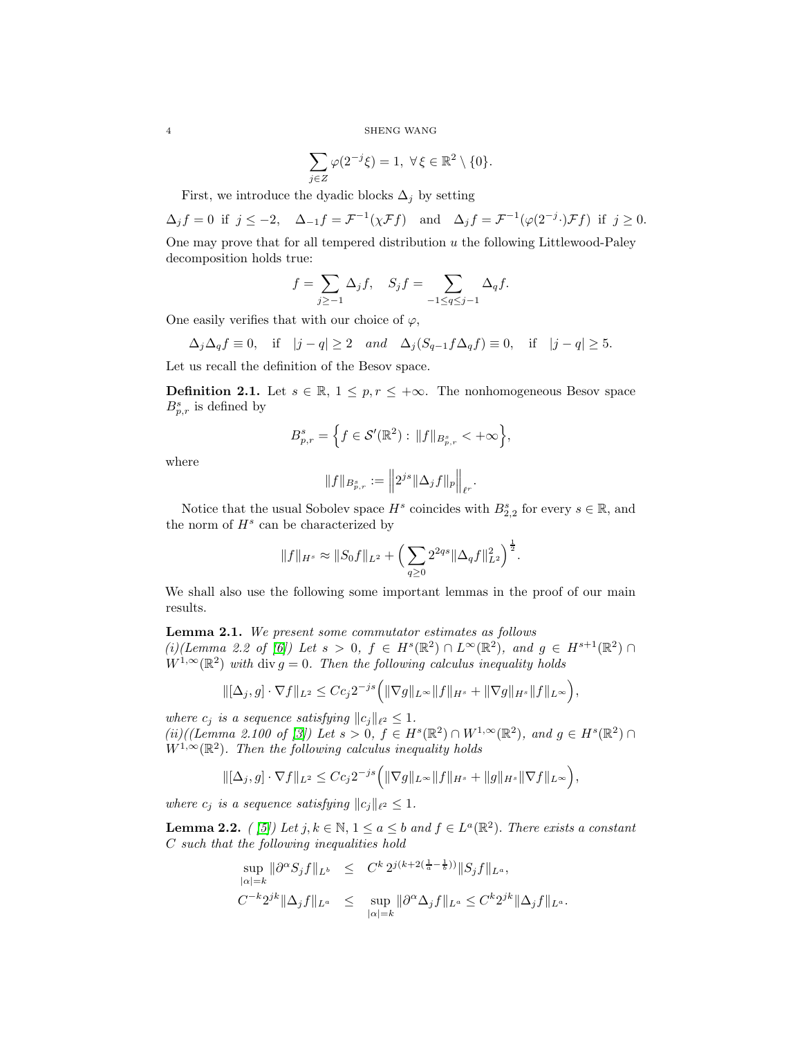SHENG WANG

$$
\sum_{j\in Z}\varphi(2^{-j}\xi)=1,\ \forall\,\xi\in\mathbb{R}^2\setminus\{0\}.
$$

First, we introduce the dyadic blocks  $\Delta_i$  by setting

 $\Delta_j f = 0$  if  $j \leq -2$ ,  $\Delta_{-1} f = \mathcal{F}^{-1}(\chi \mathcal{F}f)$  and  $\Delta_j f = \mathcal{F}^{-1}(\varphi(2^{-j} \cdot) \mathcal{F}f)$  if  $j \geq 0$ . One may prove that for all tempered distribution  $u$  the following Littlewood-Paley decomposition holds true:

$$
f=\sum_{j\geq -1}\Delta_{j}f,\quad S_{j}f=\sum_{-1\leq q\leq j-1}\Delta_{q}f.
$$

One easily verifies that with our choice of  $\varphi$ ,

$$
\Delta_j\Delta_qf\equiv 0,\quad\text{if}\quad|j-q|\ge2\quad and\quad\Delta_j(S_{q-1}f\Delta_qf)\equiv 0,\quad\text{if}\quad|j-q|\ge5.
$$

Let us recall the definition of the Besov space.

**Definition 2.1.** Let  $s \in \mathbb{R}$ ,  $1 \leq p, r \leq +\infty$ . The nonhomogeneous Besov space  $B_{p,r}^s$  is defined by

$$
B_{p,r}^s=\Big\{f\in \mathcal{S}'({\mathbb R}^2):\, \|f\|_{B_{p,r}^s}<+\infty\Big\},
$$

where

$$
||f||_{B_{p,r}^s} := ||2^{js}||\Delta_j f||_p ||_{\ell^r}.
$$

Notice that the usual Sobolev space  $H^s$  coincides with  $B_{2,2}^s$  for every  $s \in \mathbb{R}$ , and the norm of  $H^s$  can be characterized by

$$
||f||_{H^s} \approx ||S_0 f||_{L^2} + \left(\sum_{q\geq 0} 2^{2qs} ||\Delta_q f||_{L^2}^2\right)^{\frac{1}{2}}.
$$

We shall also use the following some important lemmas in the proof of our main results.

<span id="page-3-0"></span>Lemma 2.1. We present some commutator estimates as follows (i)(Lemma 2.2 of [\[6\]](#page-12-5)) Let  $s > 0$ ,  $f \in H^s(\mathbb{R}^2) \cap L^{\infty}(\mathbb{R}^2)$ , and  $g \in H^{s+1}(\mathbb{R}^2) \cap$  $W^{1,\infty}(\mathbb{R}^2)$  with div  $g=0$ . Then the following calculus inequality holds

$$
\|[\Delta_j, g] \cdot \nabla f\|_{L^2} \leq C c_j 2^{-js} \Big( \|\nabla g\|_{L^\infty} \|f\|_{H^s} + \|\nabla g\|_{H^s} \|f\|_{L^\infty} \Big),
$$

where  $c_j$  is a sequence satisfying  $||c_j||_{\ell^2} \leq 1$ .

(ii)((Lemma 2.100 of [\[3\]](#page-11-0)) Let  $s > 0$ ,  $f \in H^s(\mathbb{R}^2) \cap W^{1,\infty}(\mathbb{R}^2)$ , and  $g \in H^s(\mathbb{R}^2) \cap$  $W^{1,\infty}(\mathbb{R}^2)$ . Then the following calculus inequality holds

$$
\|[\Delta_j, g] \cdot \nabla f\|_{L^2} \leq C c_j 2^{-js} \Big( \|\nabla g\|_{L^\infty} \|f\|_{H^s} + \|g\|_{H^s} \|\nabla f\|_{L^\infty} \Big),
$$

where  $c_j$  is a sequence satisfying  $||c_j||_{\ell^2} \leq 1$ .

**Lemma 2.2.** ([5]) Let  $j, k \in \mathbb{N}, 1 \le a \le b$  and  $f \in L^a(\mathbb{R}^2)$ . There exists a constant C such that the following inequalities hold

$$
\sup_{|\alpha|=k} \|\partial^{\alpha} S_j f\|_{L^b} \leq C^k 2^{j(k+2(\frac{1}{a}-\frac{1}{b}))} \|S_j f\|_{L^a},
$$
  

$$
C^{-k} 2^{jk} \|\Delta_j f\|_{L^a} \leq \sup_{|\alpha|=k} \|\partial^{\alpha} \Delta_j f\|_{L^a} \leq C^k 2^{jk} \|\Delta_j f\|_{L^a}.
$$

$$
\overline{a}
$$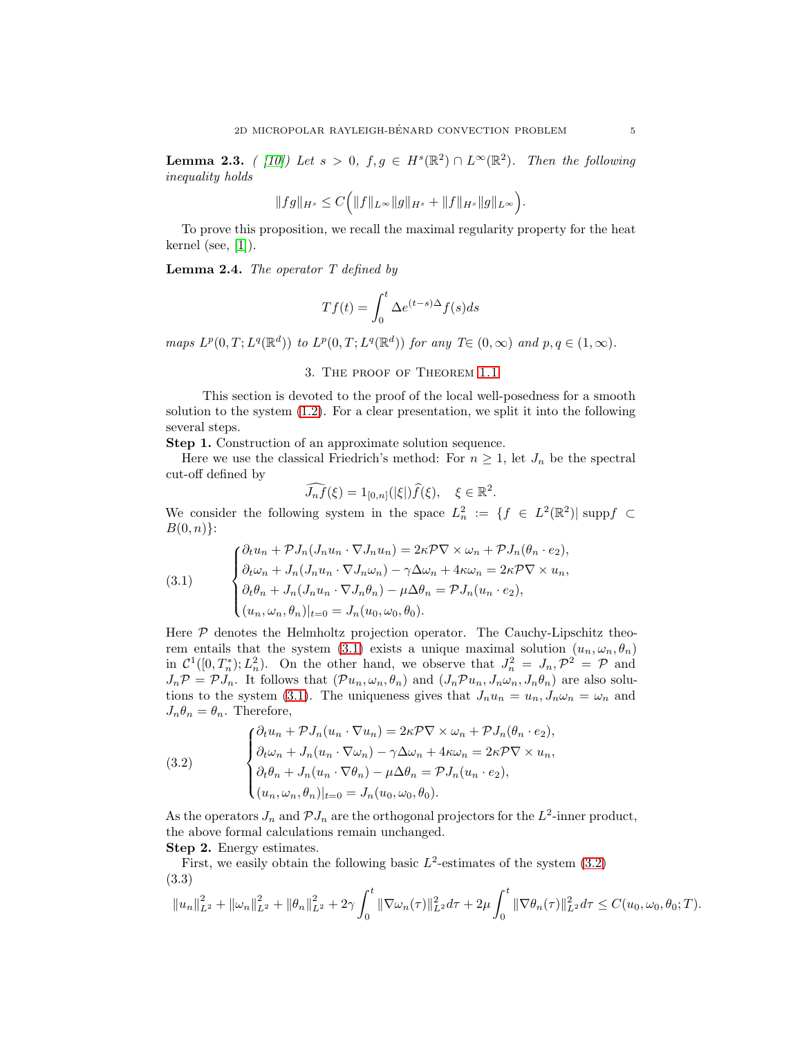<span id="page-4-3"></span>**Lemma 2.3.** ( [\[10\]](#page-12-10)) Let  $s > 0$ ,  $f, g \in H^s(\mathbb{R}^2) \cap L^{\infty}(\mathbb{R}^2)$ . Then the following inequality holds

$$
||fg||_{H^s}\leq C\Big(||f||_{L^{\infty}}||g||_{H^s}+||f||_{H^s}||g||_{L^{\infty}}\Big).
$$

To prove this proposition, we recall the maximal regularity property for the heat kernel (see,  $[1]$ ).

**Lemma 2.4.** The operator  $T$  defined by

$$
Tf(t) = \int_0^t \Delta e^{(t-s)\Delta} f(s)ds
$$

maps  $L^p(0,T;L^q(\mathbb{R}^d))$  to  $L^p(0,T;L^q(\mathbb{R}^d))$  for any  $T\in (0,\infty)$  and  $p,q\in (1,\infty)$ .

#### 3. The proof of Theorem [1.1](#page-1-2)

This section is devoted to the proof of the local well-posedness for a smooth solution to the system  $(1.2)$ . For a clear presentation, we split it into the following several steps.

Step 1. Construction of an approximate solution sequence.

Here we use the classical Friedrich's method: For  $n \geq 1$ , let  $J_n$  be the spectral cut-off defined by

$$
\widehat{J_n f}(\xi) = 1_{[0,n]}(|\xi|) \widehat{f}(\xi), \quad \xi \in \mathbb{R}^2.
$$

We consider the following system in the space  $L_n^2 := \{f \in L^2(\mathbb{R}^2) | \text{ supp } f \subset$  $B(0, n)$ :

<span id="page-4-0"></span>(3.1) 
$$
\begin{cases} \partial_t u_n + \mathcal{P} J_n(J_n u_n \cdot \nabla J_n u_n) = 2\kappa \mathcal{P} \nabla \times \omega_n + \mathcal{P} J_n(\theta_n \cdot e_2), \\ \partial_t \omega_n + J_n(J_n u_n \cdot \nabla J_n \omega_n) - \gamma \Delta \omega_n + 4\kappa \omega_n = 2\kappa \mathcal{P} \nabla \times u_n, \\ \partial_t \theta_n + J_n(J_n u_n \cdot \nabla J_n \theta_n) - \mu \Delta \theta_n = \mathcal{P} J_n(u_n \cdot e_2), \\ (u_n, \omega_n, \theta_n)|_{t=0} = J_n(u_0, \omega_0, \theta_0). \end{cases}
$$

Here  $P$  denotes the Helmholtz projection operator. The Cauchy-Lipschitz theo-rem entails that the system [\(3.1\)](#page-4-0) exists a unique maximal solution  $(u_n, \omega_n, \theta_n)$ in  $\mathcal{C}^1([0,T_n^*);L_n^2)$ . On the other hand, we observe that  $J_n^2 = J_n, \mathcal{P}^2 = \mathcal{P}$  and  $J_n\mathcal{P} = \mathcal{P}J_n$ . It follows that  $(\mathcal{P}u_n, \omega_n, \theta_n)$  and  $(J_n\mathcal{P}u_n, J_n\omega_n, J_n\theta_n)$  are also solu-tions to the system [\(3.1\)](#page-4-0). The uniqueness gives that  $J_n u_n = u_n, J_n \omega_n = \omega_n$  and  $J_n \theta_n = \theta_n$ . Therefore,

<span id="page-4-1"></span>(3.2) 
$$
\begin{cases} \partial_t u_n + \mathcal{P} J_n(u_n \cdot \nabla u_n) = 2\kappa \mathcal{P} \nabla \times \omega_n + \mathcal{P} J_n(\theta_n \cdot e_2), \\ \partial_t \omega_n + J_n(u_n \cdot \nabla \omega_n) - \gamma \Delta \omega_n + 4\kappa \omega_n = 2\kappa \mathcal{P} \nabla \times u_n, \\ \partial_t \theta_n + J_n(u_n \cdot \nabla \theta_n) - \mu \Delta \theta_n = \mathcal{P} J_n(u_n \cdot e_2), \\ (u_n, \omega_n, \theta_n)|_{t=0} = J_n(u_0, \omega_0, \theta_0). \end{cases}
$$

As the operators  $J_n$  and  $\mathcal{P} J_n$  are the orthogonal projectors for the  $L^2$ -inner product, the above formal calculations remain unchanged.

Step 2. Energy estimates.

First, we easily obtain the following basic  $L^2$ -estimates of the system  $(3.2)$ (3.3)

<span id="page-4-2"></span>
$$
||u_n||_{L^2}^2 + ||\omega_n||_{L^2}^2 + ||\theta_n||_{L^2}^2 + 2\gamma \int_0^t ||\nabla \omega_n(\tau)||_{L^2}^2 d\tau + 2\mu \int_0^t ||\nabla \theta_n(\tau)||_{L^2}^2 d\tau \leq C(u_0, \omega_0, \theta_0; T).
$$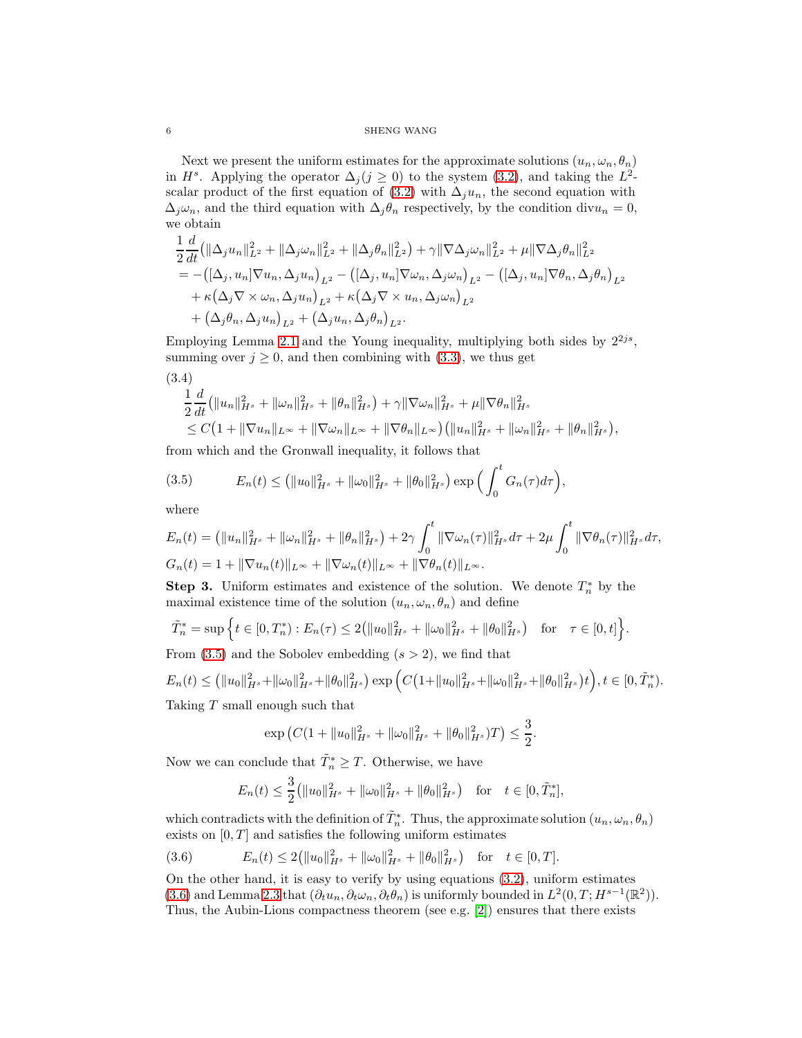$6$   $\,$  SHENG WANG  $\,$ 

Next we present the uniform estimates for the approximate solutions  $(u_n, \omega_n, \theta_n)$ in  $H^s$ . Applying the operator  $\Delta_j (j \geq 0)$  to the system [\(3.2\)](#page-4-1), and taking the  $L^2$ -scalar product of the first equation of [\(3.2\)](#page-4-1) with  $\Delta_j u_n$ , the second equation with  $\Delta_j \omega_n$ , and the third equation with  $\Delta_j \theta_n$  respectively, by the condition div $u_n = 0$ , we obtain

$$
\frac{1}{2}\frac{d}{dt}\left(\|\Delta_j u_n\|_{L^2}^2 + \|\Delta_j \omega_n\|_{L^2}^2 + \|\Delta_j \theta_n\|_{L^2}^2\right) + \gamma \|\nabla \Delta_j \omega_n\|_{L^2}^2 + \mu \|\nabla \Delta_j \theta_n\|_{L^2}^2
$$
\n
$$
= -\left([\Delta_j, u_n] \nabla u_n, \Delta_j u_n\right)_{L^2} - \left([\Delta_j, u_n] \nabla \omega_n, \Delta_j \omega_n\right)_{L^2} - \left([\Delta_j, u_n] \nabla \theta_n, \Delta_j \theta_n\right)_{L^2}
$$
\n
$$
+ \kappa (\Delta_j \nabla \times \omega_n, \Delta_j u_n)_{L^2} + \kappa (\Delta_j \nabla \times u_n, \Delta_j \omega_n)_{L^2}
$$
\n
$$
+ (\Delta_j \theta_n, \Delta_j u_n)_{L^2} + (\Delta_j u_n, \Delta_j \theta_n)_{L^2}.
$$

Employing Lemma [2.1](#page-3-0) and the Young inequality, multiplying both sides by  $2^{2js}$ , summing over  $j \geq 0$ , and then combining with  $(3.3)$ , we thus get

$$
(3.4)
$$
  
\n
$$
\frac{1}{2}\frac{d}{dt}(\|u_n\|_{H^s}^2 + \|\omega_n\|_{H^s}^2 + \|\theta_n\|_{H^s}^2) + \gamma \|\nabla \omega_n\|_{H^s}^2 + \mu \|\nabla \theta_n\|_{H^s}^2
$$
  
\n
$$
\leq C\left(1 + \|\nabla u_n\|_{L^\infty} + \|\nabla \omega_n\|_{L^\infty} + \|\nabla \theta_n\|_{L^\infty}\right) (\|u_n\|_{H^s}^2 + \|\omega_n\|_{H^s}^2 + \|\theta_n\|_{H^s}^2),
$$

from which and the Gronwall inequality, it follows that

<span id="page-5-0"></span>(3.5) 
$$
E_n(t) \leq (||u_0||_{H^s}^2 + ||\omega_0||_{H^s}^2 + ||\theta_0||_{H^s}^2) \exp\left(\int_0^t G_n(\tau)d\tau\right),
$$

where

$$
E_n(t) = (||u_n||_{H^s}^2 + ||\omega_n||_{H^s}^2 + ||\theta_n||_{H^s}^2) + 2\gamma \int_0^t ||\nabla \omega_n(\tau)||_{H^s}^2 d\tau + 2\mu \int_0^t ||\nabla \theta_n(\tau)||_{H^s}^2 d\tau,
$$
  

$$
G_n(t) = 1 + ||\nabla u_n(t)||_{L^\infty} + ||\nabla \omega_n(t)||_{L^\infty} + ||\nabla \theta_n(t)||_{L^\infty}.
$$

**Step 3.** Uniform estimates and existence of the solution. We denote  $T_n^*$  by the maximal existence time of the solution  $(u_n, \omega_n, \theta_n)$  and define

$$
\tilde{T}_n^* = \sup \left\{ t \in [0, T_n^*): E_n(\tau) \le 2 \left( \|u_0\|_{H^s}^2 + \|\omega_0\|_{H^s}^2 + \|\theta_0\|_{H^s}^2 \right) \text{ for } \tau \in [0, t] \right\}.
$$

From  $(3.5)$  and the Sobolev embedding  $(s > 2)$ , we find that

$$
E_n(t) \leq (||u_0||_{H^s}^2 + ||\omega_0||_{H^s}^2 + ||\theta_0||_{H^s}^2) \exp\left(C\left(1 + ||u_0||_{H^s}^2 + ||\omega_0||_{H^s}^2 + ||\theta_0||_{H^s}^2\right)t\right), t \in [0, \tilde{T}_n^*).
$$

Taking  $T$  small enough such that

$$
\exp\left(C(1+\|u_0\|_{H^s}^2+\|\omega_0\|_{H^s}^2+\|\theta_0\|_{H^s}^2)T\right)\leq \frac{3}{2}.
$$

Now we can conclude that  $\tilde{T}_n^* \geq T$ . Otherwise, we have

<span id="page-5-1"></span>
$$
E_n(t) \leq \frac{3}{2} (||u_0||_{H^s}^2 + ||\omega_0||_{H^s}^2 + ||\theta_0||_{H^s}^2) \text{ for } t \in [0, \tilde{T}_n^*],
$$

which contradicts with the definition of  $\tilde{T}_n^*$ . Thus, the approximate solution  $(u_n, \omega_n, \theta_n)$ exists on  $[0, T]$  and satisfies the following uniform estimates

$$
(3.6) \t E_n(t) \le 2(||u_0||_{H^s}^2 + ||\omega_0||_{H^s}^2 + ||\theta_0||_{H^s}^2) \text{ for } t \in [0, T].
$$

On the other hand, it is easy to verify by using equations [\(3.2\)](#page-4-1), uniform estimates [\(3.6\)](#page-5-1) and Lemma [2.3](#page-4-3) that  $(\partial_t u_n, \partial_t \omega_n, \partial_t \theta_n)$  is uniformly bounded in  $L^2(0,T;H^{s-1}(\mathbb{R}^2))$ . Thus, the Aubin-Lions compactness theorem (see e.g. [\[2\]](#page-11-3)) ensures that there exists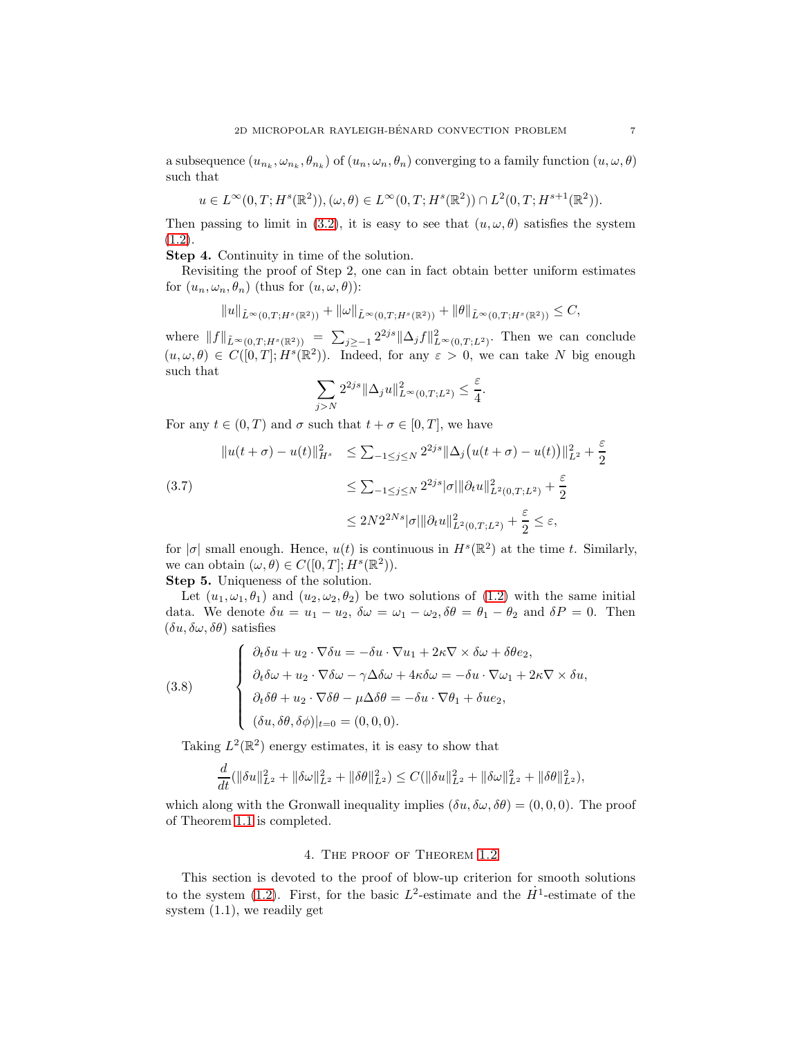a subsequence  $(u_{n_k}, \omega_{n_k}, \theta_{n_k})$  of  $(u_n, \omega_n, \theta_n)$  converging to a family function  $(u, \omega, \theta)$ such that

$$
u \in L^{\infty}(0,T;H^{s}(\mathbb{R}^{2})), (\omega,\theta) \in L^{\infty}(0,T;H^{s}(\mathbb{R}^{2})) \cap L^{2}(0,T;H^{s+1}(\mathbb{R}^{2})).
$$

Then passing to limit in [\(3.2\)](#page-4-1), it is easy to see that  $(u, \omega, \theta)$  satisfies the system  $(1.2).$  $(1.2).$ 

Step 4. Continuity in time of the solution.

Revisiting the proof of Step 2, one can in fact obtain better uniform estimates for  $(u_n, \omega_n, \theta_n)$  (thus for  $(u, \omega, \theta)$ ):

$$
||u||_{\tilde{L}^{\infty}(0,T;H^{s}(\mathbb{R}^2))}+||\omega||_{\tilde{L}^{\infty}(0,T;H^{s}(\mathbb{R}^2))}+||\theta||_{\tilde{L}^{\infty}(0,T;H^{s}(\mathbb{R}^2))}\leq C,
$$

where  $||f||_{\tilde{L}^{\infty}(0,T;H^s(\mathbb{R}^2))} = \sum_{j\geq -1} 2^{2js} ||\Delta_j f||_{L^{\infty}(0,T;L^2)}^2$ . Then we can conclude  $(u, \omega, \theta) \in C([0, T]; H^s(\mathbb{R}^2))$ . Indeed, for any  $\varepsilon > 0$ , we can take N big enough such that

$$
\sum_{j>N} 2^{2js} \|\Delta_j u\|_{L^{\infty}(0,T;L^2)}^2 \leq \frac{\varepsilon}{4}.
$$

For any  $t \in (0, T)$  and  $\sigma$  such that  $t + \sigma \in [0, T]$ , we have

$$
\|u(t+\sigma) - u(t)\|_{H^s}^2 \le \sum_{-1 \le j \le N} 2^{2js} \|\Delta_j \big(u(t+\sigma) - u(t)\big)\|_{L^2}^2 + \frac{\varepsilon}{2}
$$
  
(3.7)  

$$
\le \sum_{-1 \le j \le N} 2^{2js} |\sigma| \|\partial_t u\|_{L^2(0,T;L^2)}^2 + \frac{\varepsilon}{2}
$$
  

$$
\le 2N 2^{2Ns} |\sigma| \|\partial_t u\|_{L^2(0,T;L^2)}^2 + \frac{\varepsilon}{2} \le \varepsilon,
$$

for  $|\sigma|$  small enough. Hence,  $u(t)$  is continuous in  $H^s(\mathbb{R}^2)$  at the time t. Similarly, we can obtain  $(\omega, \theta) \in C([0, T]; H^s(\mathbb{R}^2)).$ 

Step 5. Uniqueness of the solution.

Let  $(u_1, \omega_1, \theta_1)$  and  $(u_2, \omega_2, \theta_2)$  be two solutions of  $(1.2)$  with the same initial data. We denote  $\delta u = u_1 - u_2$ ,  $\delta \omega = \omega_1 - \omega_2$ ,  $\delta \theta = \theta_1 - \theta_2$  and  $\delta P = 0$ . Then  $(\delta u, \delta \omega, \delta \theta)$  satisfies

(3.8)  
\n
$$
\begin{cases}\n\partial_t \delta u + u_2 \cdot \nabla \delta u = -\delta u \cdot \nabla u_1 + 2\kappa \nabla \times \delta \omega + \delta \theta e_2, \\
\partial_t \delta \omega + u_2 \cdot \nabla \delta \omega - \gamma \Delta \delta \omega + 4\kappa \delta \omega = -\delta u \cdot \nabla \omega_1 + 2\kappa \nabla \times \delta u, \\
\partial_t \delta \theta + u_2 \cdot \nabla \delta \theta - \mu \Delta \delta \theta = -\delta u \cdot \nabla \theta_1 + \delta u e_2, \\
(\delta u, \delta \theta, \delta \phi)|_{t=0} = (0, 0, 0).\n\end{cases}
$$

Taking  $L^2(\mathbb{R}^2)$  energy estimates, it is easy to show that

$$
\frac{d}{dt}(\|\delta u\|_{L^2}^2 + \|\delta \omega\|_{L^2}^2 + \|\delta \theta\|_{L^2}^2) \leq C(\|\delta u\|_{L^2}^2 + \|\delta \omega\|_{L^2}^2 + \|\delta \theta\|_{L^2}^2),
$$

which along with the Gronwall inequality implies  $(\delta u, \delta u, \delta \theta) = (0, 0, 0)$ . The proof of Theorem [1.1](#page-1-2) is completed.

#### 4. The proof of Theorem [1.2](#page-1-3)

This section is devoted to the proof of blow-up criterion for smooth solutions to the system [\(1.2\)](#page-1-1). First, for the basic  $L^2$ -estimate and the  $\dot{H}^1$ -estimate of the system (1.1), we readily get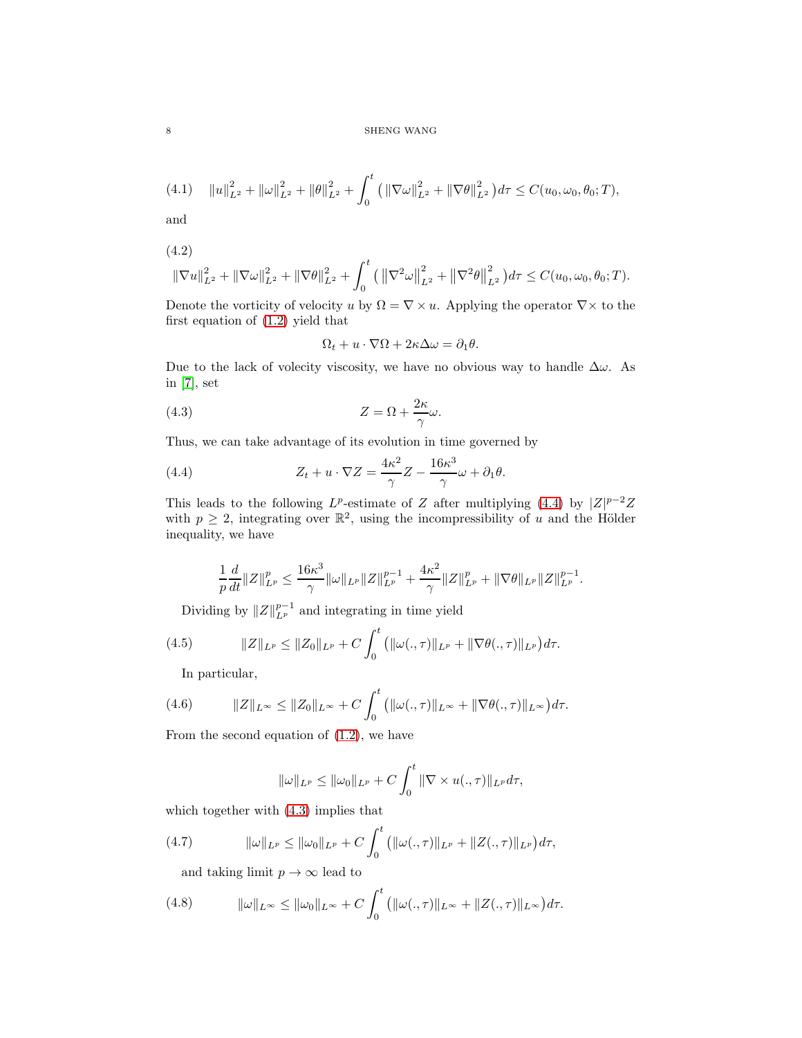$8\,$   $\,$  SHENG WANG  $\,$ 

<span id="page-7-6"></span>
$$
(4.1) \quad ||u||_{L^{2}}^{2} + ||\omega||_{L^{2}}^{2} + ||\theta||_{L^{2}}^{2} + \int_{0}^{t} (||\nabla \omega||_{L^{2}}^{2} + ||\nabla \theta||_{L^{2}}^{2}) d\tau \leq C(u_{0}, \omega_{0}, \theta_{0}; T),
$$

and

$$
(4.2)
$$

$$
\|\nabla u\|_{L^2}^2 + \|\nabla \omega\|_{L^2}^2 + \|\nabla \theta\|_{L^2}^2 + \int_0^t \left( \left\|\nabla^2 \omega\right\|_{L^2}^2 + \left\|\nabla^2 \theta\right\|_{L^2}^2 \right) d\tau \le C(u_0, \omega_0, \theta_0; T).
$$

Denote the vorticity of velocity u by  $\Omega = \nabla \times u$ . Applying the operator  $\nabla \times$  to the first equation of [\(1.2\)](#page-1-1) yield that

<span id="page-7-1"></span>
$$
\Omega_t + u\cdot \nabla \Omega + 2\kappa \Delta \omega = \partial_1 \theta.
$$

Due to the lack of volecity viscosity, we have no obvious way to handle  $\Delta\omega$ . As in [\[7\]](#page-12-6), set

(4.3) 
$$
Z = \Omega + \frac{2\kappa}{\gamma}\omega.
$$

Thus, we can take advantage of its evolution in time governed by

(4.4) 
$$
Z_t + u \cdot \nabla Z = \frac{4\kappa^2}{\gamma} Z - \frac{16\kappa^3}{\gamma} \omega + \partial_1 \theta.
$$

This leads to the following  $L^p$ -estimate of Z after multiplying [\(4.4\)](#page-7-0) by  $|Z|^{p-2}Z$ with  $p \geq 2$ , integrating over  $\mathbb{R}^2$ , using the incompressibility of u and the Hölder inequality, we have

<span id="page-7-0"></span>
$$
\frac{1}{p}\frac{d}{dt}\|Z\|_{L^p}^p \le \frac{16\kappa^3}{\gamma}\|\omega\|_{L^p}\|Z\|_{L^p}^{p-1} + \frac{4\kappa^2}{\gamma}\|Z\|_{L^p}^p + \|\nabla\theta\|_{L^p}\|Z\|_{L^p}^{p-1}.
$$

Dividing by  $||Z||_{L^p}^{p-1}$  and integrating in time yield

<span id="page-7-2"></span>(4.5) 
$$
||Z||_{L^p} \le ||Z_0||_{L^p} + C \int_0^t (||\omega(., \tau)||_{L^p} + ||\nabla \theta(., \tau)||_{L^p}) d\tau.
$$

In particular,

<span id="page-7-4"></span>(4.6) 
$$
||Z||_{L^{\infty}} \leq ||Z_0||_{L^{\infty}} + C \int_0^t (||\omega(., \tau)||_{L^{\infty}} + ||\nabla \theta(., \tau)||_{L^{\infty}}) d\tau.
$$

From the second equation of [\(1.2\)](#page-1-1), we have

$$
\|\omega\|_{L^p} \le \|\omega_0\|_{L^p} + C \int_0^t \|\nabla \times u(., \tau)\|_{L^p} d\tau,
$$

which together with [\(4.3\)](#page-7-1) implies that

<span id="page-7-3"></span>(4.7) 
$$
\|\omega\|_{L^p} \le \|\omega_0\|_{L^p} + C \int_0^t \left( \|\omega(., \tau)\|_{L^p} + \|Z(., \tau)\|_{L^p} \right) d\tau,
$$

and taking limit  $p \to \infty$  lead to

<span id="page-7-5"></span>(4.8) 
$$
\|\omega\|_{L^{\infty}} \leq \|\omega_0\|_{L^{\infty}} + C \int_0^t ( \|\omega(., \tau)\|_{L^{\infty}} + \|Z(., \tau)\|_{L^{\infty}} ) d\tau.
$$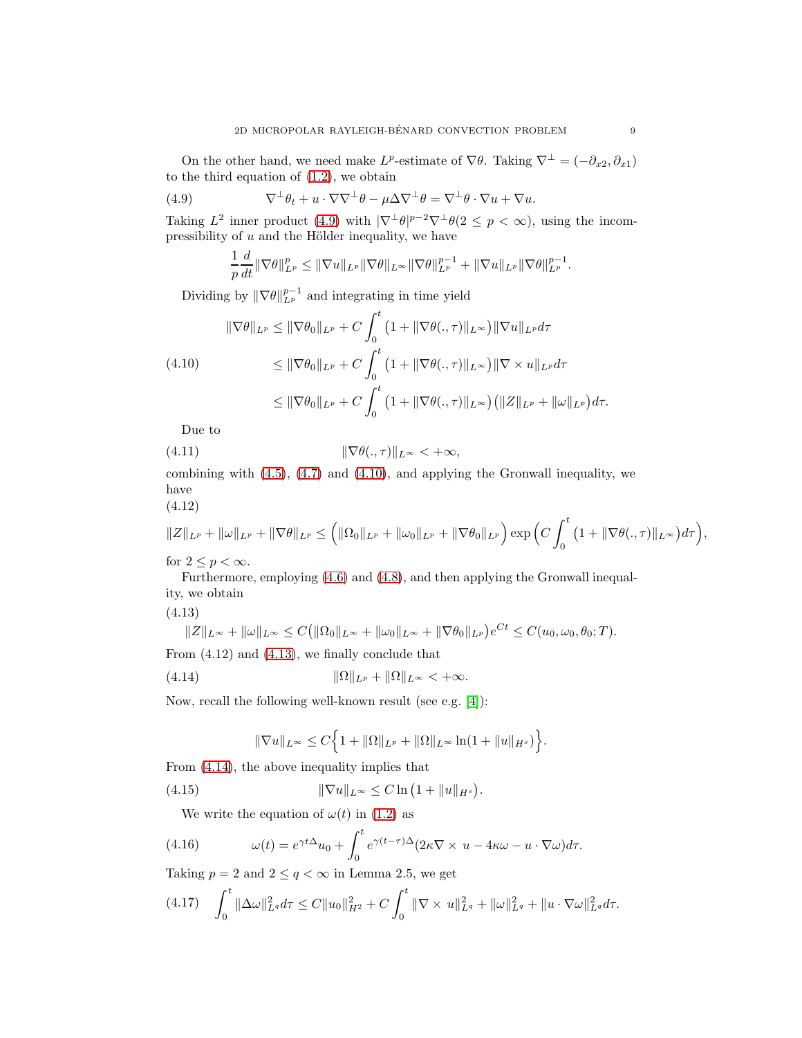On the other hand, we need make  $L^p$ -estimate of  $\nabla \theta$ . Taking  $\nabla^{\perp} = (-\partial_{x_2}, \partial_{x_1})$ to the third equation of [\(1.2\)](#page-1-1), we obtain

(4.9) 
$$
\nabla^{\perp}\theta_t + u \cdot \nabla\nabla^{\perp}\theta - \mu \Delta \nabla^{\perp}\theta = \nabla^{\perp}\theta \cdot \nabla u + \nabla u.
$$

Taking  $L^2$  inner product [\(4.9\)](#page-8-0) with  $|\nabla^{\perp}\theta|^{p-2}\nabla^{\perp}\theta(2 \leq p < \infty)$ , using the incompressibility of  $u$  and the Hölder inequality, we have

<span id="page-8-0"></span>
$$
\frac{1}{p}\frac{d}{dt}\|\nabla\theta\|_{L^p}^p \le \|\nabla u\|_{L^p}\|\nabla\theta\|_{L^\infty}\|\nabla\theta\|_{L^p}^{p-1} + \|\nabla u\|_{L^p}\|\nabla\theta\|_{L^p}^{p-1}.
$$

Dividing by  $\|\nabla \theta\|_{L^p}^{p-1}$  and integrating in time yield

<span id="page-8-1"></span>
$$
\|\nabla\theta\|_{L^p} \le \|\nabla\theta_0\|_{L^p} + C \int_0^t \left(1 + \|\nabla\theta(., \tau)\|_{L^\infty}\right) \|\nabla u\|_{L^p} d\tau
$$
  
(4.10)  

$$
\le \|\nabla\theta_0\|_{L^p} + C \int_0^t \left(1 + \|\nabla\theta(., \tau)\|_{L^\infty}\right) \|\nabla \times u\|_{L^p} d\tau
$$
  

$$
\le \|\nabla\theta_0\|_{L^p} + C \int_0^t \left(1 + \|\nabla\theta(., \tau)\|_{L^\infty}\right) \left(\|Z\|_{L^p} + \|\omega\|_{L^p}\right) d\tau.
$$

<span id="page-8-5"></span>Due to

$$
(4.11) \t\t\t\t \|\nabla \theta(.,\tau)\|_{L^{\infty}} < +\infty,
$$

combining with  $(4.5)$ ,  $(4.7)$  and  $(4.10)$ , and applying the Gronwall inequality, we have

(4.12)

$$
||Z||_{L^{p}}+||\omega||_{L^{p}}+||\nabla\theta||_{L^{p}}\leq (||\Omega_{0}||_{L^{p}}+||\omega_{0}||_{L^{p}}+||\nabla\theta_{0}||_{L^{p}})\exp\Big(C\int_{0}^{t}(1+||\nabla\theta(.,\tau)||_{L^{\infty}})d\tau\Big),
$$

for  $2 \leq p < \infty$ .

Furthermore, employing [\(4.6\)](#page-7-4) and [\(4.8\)](#page-7-5), and then applying the Gronwall inequality, we obtain

<span id="page-8-2"></span>(4.13)

$$
||Z||_{L^{\infty}} + ||\omega||_{L^{\infty}} \leq C(||\Omega_0||_{L^{\infty}} + ||\omega_0||_{L^{\infty}} + ||\nabla \theta_0||_{L^p})e^{Ct} \leq C(u_0, \omega_0, \theta_0; T).
$$

From (4.12) and [\(4.13\)](#page-8-2), we finally conclude that

<span id="page-8-3"></span>
$$
(4.14) \t\t\t\t\t\|\Omega\|_{L^p} + \|\Omega\|_{L^\infty} < +\infty.
$$

Now, recall the following well-known result (see e.g. [\[4\]](#page-11-4)):

$$
\|\nabla u\|_{L^{\infty}} \leq C \Big\{ 1 + \|\Omega\|_{L^{p}} + \|\Omega\|_{L^{\infty}} \ln(1 + \|u\|_{H^{s}}) \Big\}.
$$

From [\(4.14\)](#page-8-3), the above inequality implies that

<span id="page-8-6"></span>(4.15) 
$$
\|\nabla u\|_{L^{\infty}} \leq C \ln (1 + \|u\|_{H^{s}}).
$$

We write the equation of  $\omega(t)$  in [\(1.2\)](#page-1-1) as

(4.16) 
$$
\omega(t) = e^{\gamma t \Delta} u_0 + \int_0^t e^{\gamma (t-\tau)\Delta} (2\kappa \nabla \times u - 4\kappa \omega - u \cdot \nabla \omega) d\tau.
$$

Taking  $p = 2$  and  $2 \le q < \infty$  in Lemma 2.5, we get

<span id="page-8-4"></span>
$$
(4.17) \quad \int_0^t \|\Delta\omega\|_{L^q}^2 d\tau \leq C \|u_0\|_{H^2}^2 + C \int_0^t \|\nabla \times u\|_{L^q}^2 + \|\omega\|_{L^q}^2 + \|u \cdot \nabla \omega\|_{L^q}^2 d\tau.
$$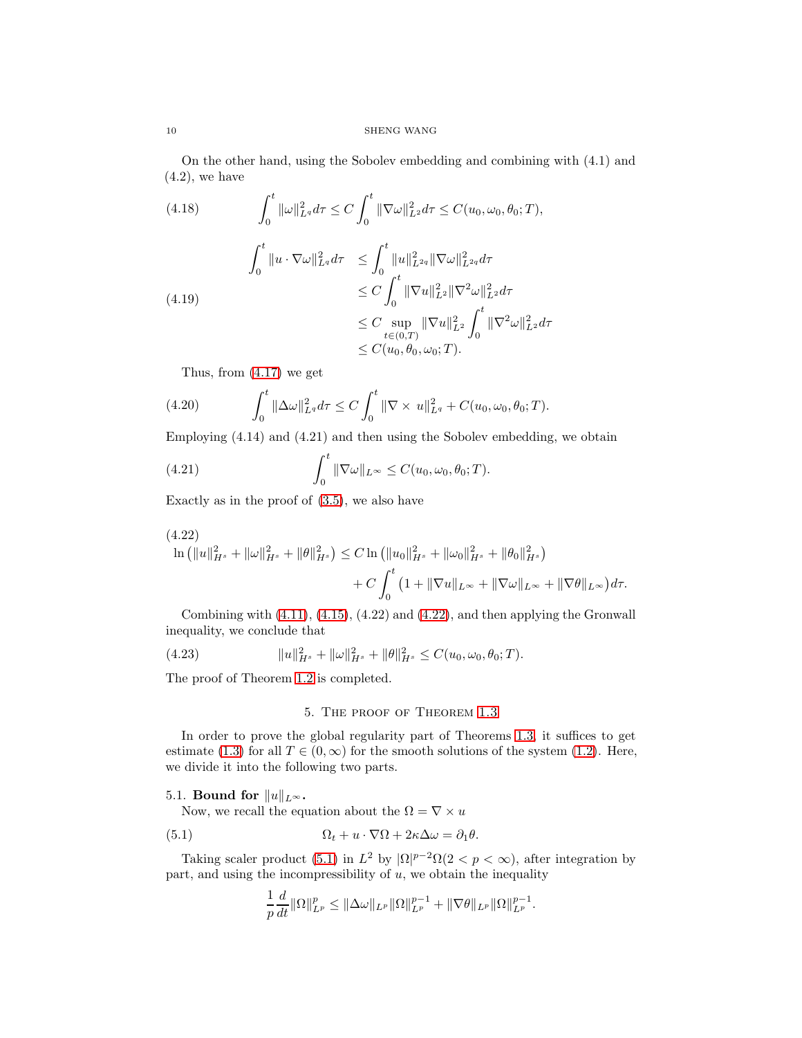On the other hand, using the Sobolev embedding and combining with (4.1) and  $(4.2)$ , we have

(4.18)  
\n
$$
\int_0^t \|\omega\|_{L^q}^2 d\tau \leq C \int_0^t \|\nabla \omega\|_{L^2}^2 d\tau \leq C(u_0, \omega_0, \theta_0; T),
$$
\n
$$
\int_0^t \|u \cdot \nabla \omega\|_{L^q}^2 d\tau \leq \int_0^t \|u\|_{L^{2q}}^2 \|\nabla \omega\|_{L^{2q}}^2 d\tau
$$
\n
$$
\leq C \int_0^t \|\nabla u\|_{L^2}^2 \|\nabla^2 \omega\|_{L^2}^2 d\tau
$$
\n
$$
\leq C \sup_{t \in (0, T)} \|\nabla u\|_{L^2}^2 \int_0^t \|\nabla^2 \omega\|_{L^2}^2 d\tau
$$
\n
$$
\leq C(u_0, \theta_0, \omega_0; T).
$$

Thus, from [\(4.17\)](#page-8-4) we get

(4.20) 
$$
\int_0^t \|\Delta \omega\|_{L^q}^2 d\tau \leq C \int_0^t \|\nabla \times u\|_{L^q}^2 + C(u_0, \omega_0, \theta_0; T).
$$

Employing (4.14) and (4.21) and then using the Sobolev embedding, we obtain

(4.21) 
$$
\int_0^t \|\nabla \omega\|_{L^\infty} \leq C(u_0, \omega_0, \theta_0; T).
$$

Exactly as in the proof of [\(3.5\)](#page-5-0), we also have

<span id="page-9-0"></span>
$$
(4.22)
$$
  
\n
$$
\ln (||u||_{H^s}^2 + ||\omega||_{H^s}^2 + ||\theta||_{H^s}^2) \leq C \ln (||u_0||_{H^s}^2 + ||\omega_0||_{H^s}^2 + ||\theta_0||_{H^s}^2)
$$
  
\n
$$
+ C \int_0^t (1 + ||\nabla u||_{L^\infty} + ||\nabla \omega||_{L^\infty} + ||\nabla \theta||_{L^\infty}) d\tau.
$$

Combining with [\(4.11\)](#page-8-5), [\(4.15\)](#page-8-6), (4.22) and [\(4.22\)](#page-9-0), and then applying the Gronwall inequality, we conclude that

(4.23) 
$$
||u||_{H^s}^2 + ||\omega||_{H^s}^2 + ||\theta||_{H^s}^2 \leq C(u_0, \omega_0, \theta_0; T).
$$

The proof of Theorem [1.2](#page-1-3) is completed.

## 5. The proof of Theorem [1.3](#page-2-0)

In order to prove the global regularity part of Theorems [1.3,](#page-2-0) it suffices to get estimate [\(1.3\)](#page-1-4) for all  $T \in (0, \infty)$  for the smooth solutions of the system [\(1.2\)](#page-1-1). Here, we divide it into the following two parts.

## 5.1. Bound for  $||u||_{L^{\infty}}$ .

Now, we recall the equation about the  $\Omega = \nabla \times u$ 

(5.1) 
$$
\Omega_t + u \cdot \nabla \Omega + 2\kappa \Delta \omega = \partial_1 \theta.
$$

Taking scaler product [\(5.1\)](#page-9-1) in  $L^2$  by  $|\Omega|^{p-2}\Omega(2 < p < \infty)$ , after integration by part, and using the incompressibility of  $u$ , we obtain the inequality

<span id="page-9-1"></span>
$$
\frac{1}{p}\frac{d}{dt}\|\Omega\|_{L^p}^p \le \|\Delta\omega\|_{L^p}\|\Omega\|_{L^p}^{p-1} + \|\nabla\theta\|_{L^p}\|\Omega\|_{L^p}^{p-1}.
$$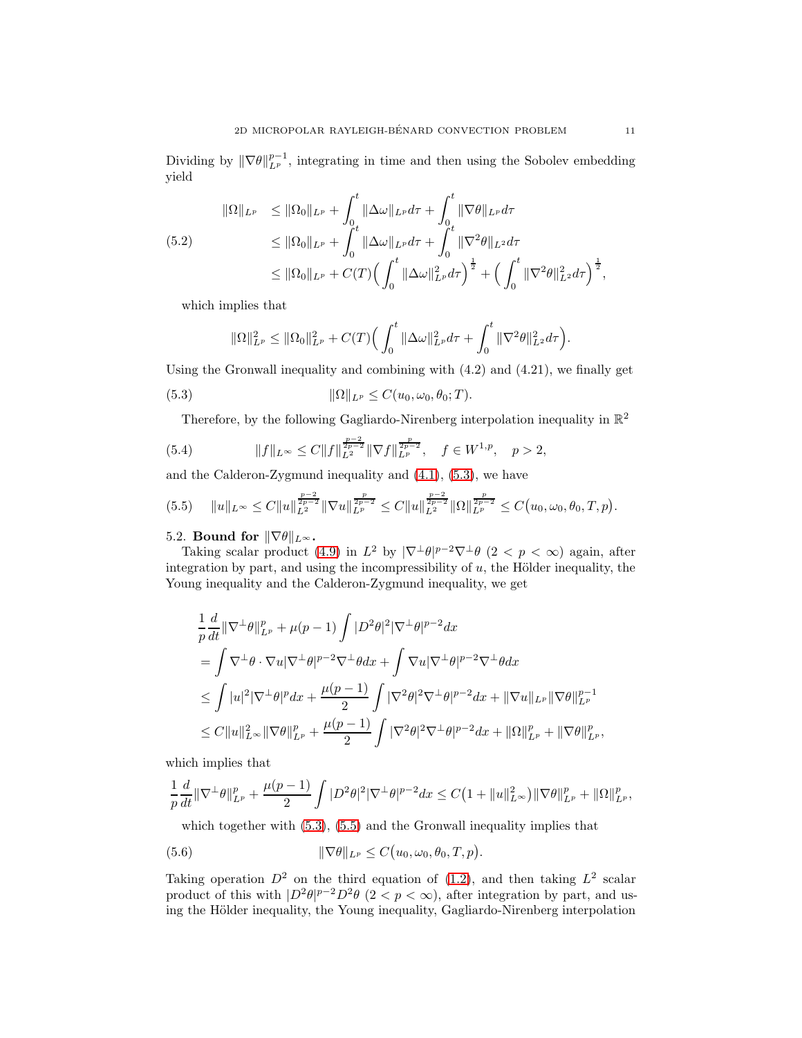Dividing by  $\|\nabla \theta\|_{L^p}^{p-1}$ , integrating in time and then using the Sobolev embedding yield

$$
\|\Omega\|_{L^p} \le \|\Omega_0\|_{L^p} + \int_0^t \|\Delta\omega\|_{L^p} d\tau + \int_0^t \|\nabla\theta\|_{L^p} d\tau \le \|\Omega_0\|_{L^p} + \int_0^t \|\Delta\omega\|_{L^p} d\tau + \int_0^t \|\nabla^2\theta\|_{L^2} d\tau \le \|\Omega_0\|_{L^p} + C(T) \Big(\int_0^t \|\Delta\omega\|_{L^p}^2 d\tau\Big)^{\frac{1}{2}} + \Big(\int_0^t \|\nabla^2\theta\|_{L^2}^2 d\tau\Big)^{\frac{1}{2}},
$$

which implies that

<span id="page-10-0"></span>
$$
\|\Omega\|_{L^p}^2 \le \|\Omega_0\|_{L^p}^2 + C(T) \Big( \int_0^t \|\Delta \omega\|_{L^p}^2 d\tau + \int_0^t \|\nabla^2 \theta\|_{L^2}^2 d\tau \Big).
$$

Using the Gronwall inequality and combining with  $(4.2)$  and  $(4.21)$ , we finally get

(5.3) 
$$
\|\Omega\|_{L^p} \leq C(u_0, \omega_0, \theta_0; T).
$$

<span id="page-10-2"></span>Therefore, by the following Gagliardo-Nirenberg interpolation inequality in  $\mathbb{R}^2$ 

(5.4) 
$$
||f||_{L^{\infty}} \leq C||f||_{L^{2}}^{\frac{p-2}{2p-2}}||\nabla f||_{L^{p}}^{\frac{p}{2p-2}}, \quad f \in W^{1,p}, \quad p > 2,
$$

and the Calderon-Zygmund inequality and [\(4.1\)](#page-7-6), [\(5.3\)](#page-10-0), we have

<span id="page-10-1"></span>
$$
(5.5) \t\t\t||u||_{L^{\infty}} \leq C||u||_{L^{2}}^{\frac{p-2}{2p-2}}||\nabla u||_{L^{p}}^{\frac{p}{2p-2}} \leq C||u||_{L^{2}}^{\frac{p-2}{2p-2}}||\Omega||_{L^{p}}^{\frac{p}{2p-2}} \leq C(u_0, \omega_0, \theta_0, T, p).
$$

## 5.2. Bound for  $\|\nabla\theta\|_{L^{\infty}}$ .

Taking scalar product [\(4.9\)](#page-8-0) in  $L^2$  by  $|\nabla^{\perp}\theta|^{p-2}\nabla^{\perp}\theta$   $(2 < p < \infty)$  again, after integration by part, and using the incompressibility of  $u$ , the Hölder inequality, the Young inequality and the Calderon-Zygmund inequality, we get

$$
\begin{split} &\frac{1}{p}\frac{d}{dt}\|\nabla^{\perp}\theta\|^{p}_{L^{p}}+\mu(p-1)\int |D^{2}\theta|^{2}|\nabla^{\perp}\theta|^{p-2}dx \\ &=\int \nabla^{\perp}\theta\cdot\nabla u|\nabla^{\perp}\theta|^{p-2}\nabla^{\perp}\theta dx+\int \nabla u|\nabla^{\perp}\theta|^{p-2}\nabla^{\perp}\theta dx \\ &\leq \int |u|^{2}|\nabla^{\perp}\theta|^{p}dx+\frac{\mu(p-1)}{2}\int |\nabla^{2}\theta|^{2}\nabla^{\perp}\theta|^{p-2}dx+\|\nabla u\|_{L^{p}}\|\nabla\theta\|^{p-1}_{L^{p}} \\ &\leq C\|u\|^{2}_{L^{\infty}}\|\nabla\theta\|^{p}_{L^{p}}+\frac{\mu(p-1)}{2}\int |\nabla^{2}\theta|^{2}\nabla^{\perp}\theta|^{p-2}dx+\|\Omega\|^{p}_{L^{p}}+\|\nabla\theta\|^{p}_{L^{p}}, \end{split}
$$

which implies that

$$
\frac{1}{p}\frac{d}{dt}\|\nabla^{\perp}\theta\|_{L^p}^p + \frac{\mu(p-1)}{2}\int |D^2\theta|^2|\nabla^{\perp}\theta|^{p-2}dx \leq C\big(1 + \|u\|_{L^\infty}^2\big)\|\nabla\theta\|_{L^p}^p + \|\Omega\|_{L^p}^p,
$$

which together with  $(5.3)$ ,  $(5.5)$  and the Gronwall inequality implies that

<span id="page-10-3"></span>(5.6) 
$$
\|\nabla \theta\|_{L^p} \leq C(u_0, \omega_0, \theta_0, T, p).
$$

Taking operation  $D^2$  on the third equation of [\(1.2\)](#page-1-1), and then taking  $L^2$  scalar product of this with  $D^2\theta|^{p-2}D^2\theta$   $(2 < p < \infty)$ , after integration by part, and using the Hölder inequality, the Young inequality, Gagliardo-Nirenberg interpolation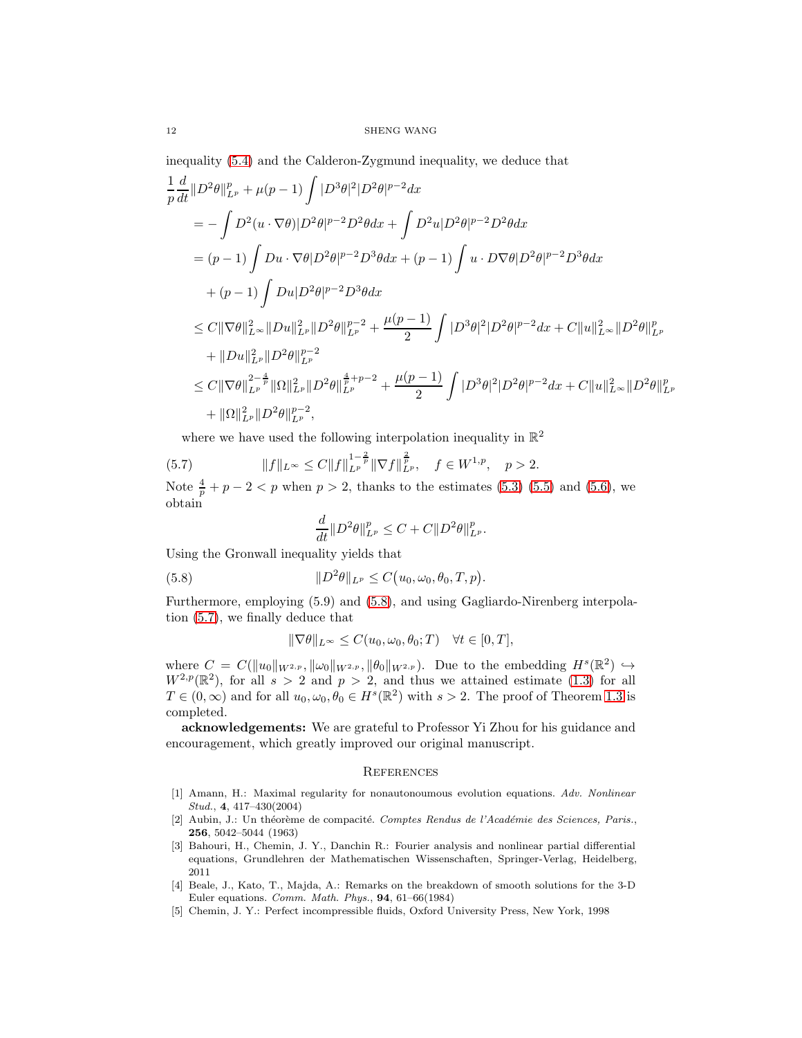inequality [\(5.4\)](#page-10-2) and the Calderon-Zygmund inequality, we deduce that

$$
\frac{1}{p} \frac{d}{dt} ||D^2 \theta||_{L^p}^p + \mu(p-1) \int |D^3 \theta|^2 |D^2 \theta|^{p-2} dx
$$
\n
$$
= -\int D^2 (u \cdot \nabla \theta) |D^2 \theta|^{p-2} D^2 \theta dx + \int D^2 u |D^2 \theta|^{p-2} D^2 \theta dx
$$
\n
$$
= (p-1) \int Du \cdot \nabla \theta |D^2 \theta|^{p-2} D^3 \theta dx + (p-1) \int u \cdot D \nabla \theta |D^2 \theta|^{p-2} D^3 \theta dx
$$
\n
$$
+ (p-1) \int Du |D^2 \theta|^{p-2} D^3 \theta dx
$$
\n
$$
\leq C ||\nabla \theta||_{L^{\infty}}^2 ||Du||_{L^p}^2 ||D^2 \theta||_{L^p}^{p-2} + \frac{\mu(p-1)}{2} \int |D^3 \theta|^2 |D^2 \theta|^{p-2} dx + C ||u||_{L^{\infty}}^2 ||D^2 \theta||_{L^p}^p
$$
\n
$$
+ ||Du||_{L^p}^2 ||D^2 \theta||_{L^p}^{p-2}
$$
\n
$$
\leq C ||\nabla \theta||_{L^p}^{2 - \frac{4}{p}} ||\Omega||_{L^p}^2 ||D^2 \theta||_{L^p}^{\frac{4}{p} + p - 2} + \frac{\mu(p-1)}{2} \int |D^3 \theta|^2 |D^2 \theta|^{p-2} dx + C ||u||_{L^{\infty}}^2 ||D^2 \theta||_{L^p}^p
$$
\n
$$
+ ||\Omega||_{L^p}^2 ||D^2 \theta||_{L^p}^{p-2},
$$

where we have used the following interpolation inequality in  $\mathbb{R}^2$ 

(5.7) 
$$
||f||_{L^{\infty}} \leq C||f||_{L^{p}}^{1-\frac{2}{p}}||\nabla f||_{L^{p}}^{\frac{2}{p}}, \quad f \in W^{1,p}, \quad p > 2.
$$
  
Note  $\frac{4}{p} + p - 2 < p$  when  $p > 2$ , thanks to the estimates (5.3) (5.5) and (5.6), we obtain

<span id="page-11-6"></span>
$$
\frac{d}{dt} \|D^2 \theta\|_{L^p}^p \le C + C \|D^2 \theta\|_{L^p}^p.
$$

Using the Gronwall inequality yields that

<span id="page-11-5"></span>(5.8) 
$$
||D^2\theta||_{L^p} \leq C(u_0, \omega_0, \theta_0, T, p).
$$

Furthermore, employing (5.9) and [\(5.8\)](#page-11-5), and using Gagliardo-Nirenberg interpolation [\(5.7\)](#page-11-6), we finally deduce that

$$
\|\nabla\theta\|_{L^{\infty}} \le C(u_0, \omega_0, \theta_0; T) \quad \forall t \in [0, T],
$$

where  $C = C(||u_0||_{W^{2,p}}, ||\omega_0||_{W^{2,p}}, ||\theta_0||_{W^{2,p}})$ . Due to the embedding  $H^s(\mathbb{R}^2) \hookrightarrow$  $W^{2,p}(\mathbb{R}^2)$ , for all  $s > 2$  and  $p > 2$ , and thus we attained estimate [\(1.3\)](#page-1-4) for all  $T \in (0,\infty)$  and for all  $u_0, \omega_0, \theta_0 \in H^s(\mathbb{R}^2)$  with  $s > 2$ . The proof of Theorem [1.3](#page-2-0) is completed.

acknowledgements: We are grateful to Professor Yi Zhou for his guidance and encouragement, which greatly improved our original manuscript.

#### **REFERENCES**

- <span id="page-11-2"></span>[1] Amann, H.: Maximal regularity for nonautonoumous evolution equations. Adv. Nonlinear Stud., 4, 417–430(2004)
- <span id="page-11-3"></span>[2] Aubin, J.: Un théorème de compacité. Comptes Rendus de l'Académie des Sciences, Paris., 256, 5042–5044 (1963)
- <span id="page-11-0"></span>[3] Bahouri, H., Chemin, J. Y., Danchin R.: Fourier analysis and nonlinear partial differential equations, Grundlehren der Mathematischen Wissenschaften, Springer-Verlag, Heidelberg, 2011
- <span id="page-11-4"></span>[4] Beale, J., Kato, T., Majda, A.: Remarks on the breakdown of smooth solutions for the 3-D Euler equations. Comm. Math. Phys., 94, 61–66(1984)
- <span id="page-11-1"></span>[5] Chemin, J. Y.: Perfect incompressible fluids, Oxford University Press, New York, 1998